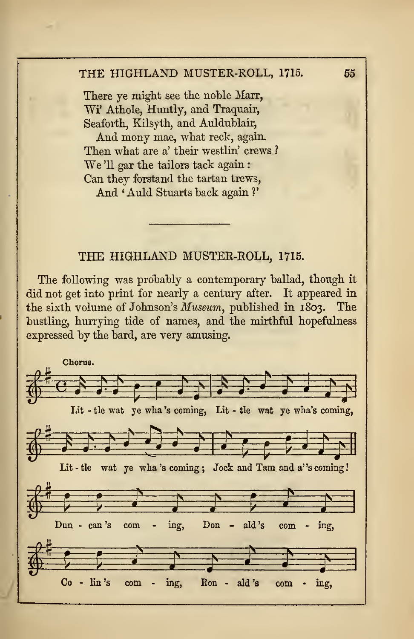## THE HIGHLAND MUSTER-ROLL, 1715.

The following was probably a contemporary ballad, though it did not get into print for nearly a century after. It appeared in the sixth volume of Johnson's Museum, published in 1803. The bustling, hurrying tide of names, and the mirthful hopefulness expressed by the bard, are very amusing.

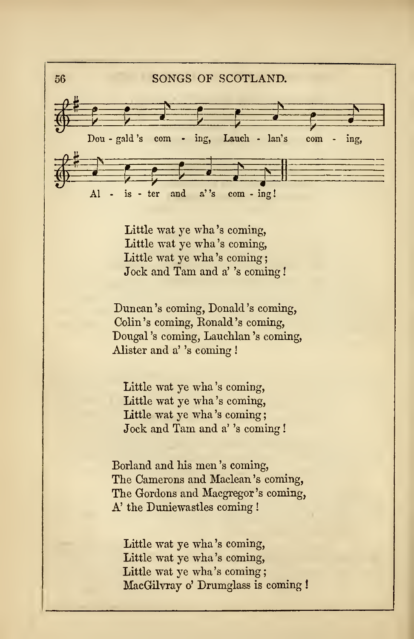

Little wat ye wha 's coming, Little wat ye wha 's coming, Little wat ye wha's coming: Jock and Tam and a' 's coming !

Duncan 's coming, Donald 's coming, Colin 's coming, Ronald 's coming, Dougal 's coming, Lauchlan 's coming, Alister and a''s coming !

Little wat ye wha 's coming, Little wat ye wha 's coming, Little wat ye wha's coming; Jock and Tam and a' 's coming !

Borland and his men 's coming, The Camerons and Maclean's coming, The Gordons and Macgregor's coming, A' the Duniewastles coming !

Little wat ye wha 's coming, Little wat ye wha 's coming, Little wat ye wha's coming; MacGilvray o' Drumglass is coming !